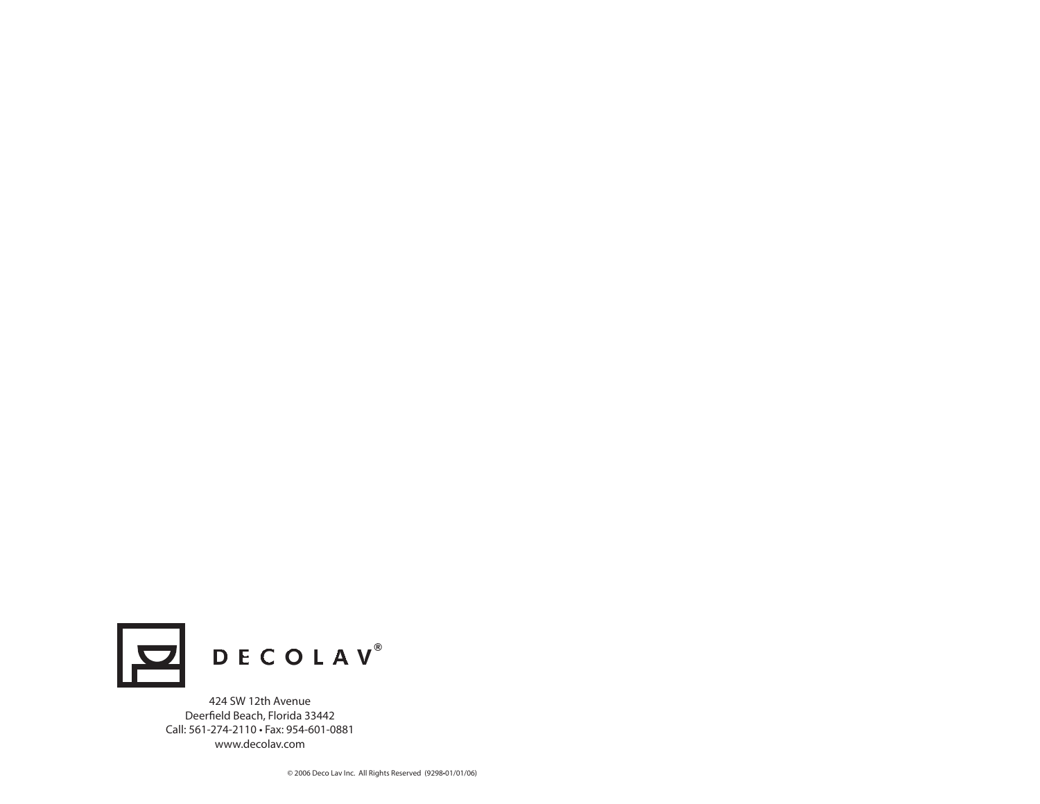

424 SW 12th Avenue Deerfield Beach, Florida 33442 Call: 561-274-2110 • Fax: 954-601-0881www.decolav.com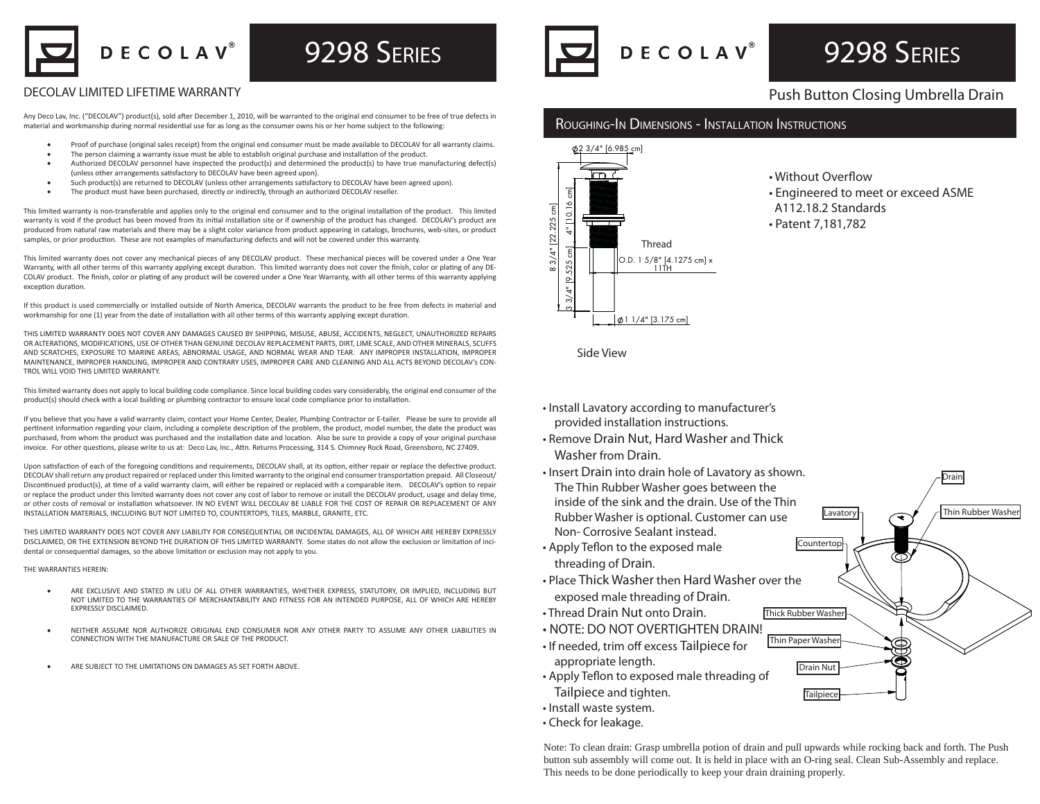DECOLAV®

## 9298 SERIES

#### DECOLAV LIMITED LIFETIME WARRANTY

Any Deco Lav, Inc. ("DECOLAV") product(s), sold after December 1, 2010, will be warranted to the original end consumer to be free of true defects in material and workmanship during normal residential use for as long as the consumer owns his or her home subject to the following:

- Proof of purchase (original sales receipt) from the original end consumer must be made available to DECOLAV for all warranty claims.
- The person claiming a warranty issue must be able to establish original purchase and installation of the product.
- Authorized DECOLAV personnel have inspected the product(s) and determined the product(s) to have true manufacturing defect(s) (unless other arrangements satisfactory to DECOLAV have been agreed upon).
- Such product(s) are returned to DECOLAV (unless other arrangements satisfactory to DECOLAV have been agreed upon).
- The product must have been purchased, directly or indirectly, through an authorized DECOLAV reseller.

This limited warranty is non-transferable and applies only to the original end consumer and to the original installation of the product. This limited warranty is void if the product has been moved from its initial installation site or if ownership of the product has changed. DECOLAV's product are produced from natural raw materials and there may be a slight color variance from product appearing in catalogs, brochures, web-sites, or product samples, or prior production. These are not examples of manufacturing defects and will not be covered under this warranty.

This limited warranty does not cover any mechanical pieces of any DECOLAV product. These mechanical pieces will be covered under a One Year Warranty, with all other terms of this warranty applying except duration. This limited warranty does not cover the finish, color or plating of any DE-COLAV product. The finish, color or plating of any product will be covered under a One Year Warranty, with all other terms of this warranty applying exception duration.

If this product is used commercially or installed outside of North America, DECOLAV warrants the product to be free from defects in material and workmanship for one (1) year from the date of installation with all other terms of this warranty applying except duration.

THIS LIMITED WARRANTY DOES NOT COVER ANY DAMAGES CAUSED BY SHIPPING, MISUSE, ABUSE, ACCIDENTS, NEGLECT, UNAUTHORIZED REPAIRS OR ALTERATIONS, MODIFICATIONS, USE OF OTHER THAN GENUINE DECOLAV REPLACEMENT PARTS, DIRT, LIME SCALE, AND OTHER MINERALS, SCUFFS AND SCRATCHES, EXPOSURE TO MARINE AREAS, ABNORMAL USAGE, AND NORMAL WEAR AND TEAR. ANY IMPROPER INSTALLATION, IMPROPER MAINTENANCE, IMPROPER HANDLING, IMPROPER AND CONTRARY USES, IMPROPER CARE AND CLEANING AND ALL ACTS BEYOND DECOLAV's CON-TROL WILL VOID THIS LIMITED WARRANTY.

This limited warranty does not apply to local building code compliance. Since local building codes vary considerably, the original end consumer of the product(s) should check with a local building or plumbing contractor to ensure local code compliance prior to installation.

If you believe that you have a valid warranty claim, contact your Home Center, Dealer, Plumbing Contractor or E-tailer. Please be sure to provide all pertinent information regarding your claim, including a complete description of the problem, the product, model number, the date the product was purchased, from whom the product was purchased and the installation date and location. Also be sure to provide a copy of your original purchase invoice. For other questions, please write to us at: Deco Lav, Inc., Attn. Returns Processing, 314 S. Chimney Rock Road, Greensboro, NC 27409.

Upon satisfaction of each of the foregoing conditions and requirements, DECOLAV shall, at its option, either repair or replace the defective product. DECOLAV shall return any product repaired or replaced under this limited warranty to the original end consumer transportation prepaid. All Closeout/ Discontinued product(s), at time of a valid warranty claim, will either be repaired or replaced with a comparable item. DECOLAV's option to repair or replace the product under this limited warranty does not cover any cost of labor to remove or install the DECOLAV product, usage and delay time, or other costs of removal or installation whatsoever. IN NO EVENT WILL DECOLAV BE LIABLE FOR THE COST OF REPAIR OR REPLACEMENT OF ANY INSTALLATION MATERIALS, INCLUDING BUT NOT LIMITED TO, COUNTERTOPS, TILES, MARBLE, GRANITE, ETC.

THIS LIMITED WARRANTY DOES NOT COVER ANY LIABILITY FOR CONSEQUENTIAL OR INCIDENTAL DAMAGES, ALL OF WHICH ARE HEREBY EXPRESSLY DISCLAIMED, OR THE EXTENSION BEYOND THE DURATION OF THIS LIMITED WARRANTY. Some states do not allow the exclusion or limitation of incidental or consequential damages, so the above limitation or exclusion may not apply to you.

#### THE WARRANTIES HEREIN:

- ARE EXCLUSIVE AND STATED IN LIEU OF ALL OTHER WARRANTIES, WHETHER EXPRESS, STATUTORY, OR IMPLIED, INCLUDING BUT NOT LIMITED TO THE WARRANTIES OF MERCHANTABILITY AND FITNESS FOR AN INTENDED PURPOSE, ALL OF WHICH ARE HEREBY EXPRESSLY DISCLAIMED.
- NEITHER ASSUME NOR AUTHORIZE ORIGINAL END CONSUMER NOR ANY OTHER PARTY TO ASSUME ANY OTHER LIABILITIES INCONNECTION WITH THE MANUFACTURE OR SALE OF THE PRODUCT.
- ARE SUBJECT TO THE LIMITATIONS ON DAMAGES AS SET FORTH ABOVE.



# 9298 SERIES

### Push Button Closing Umbrella Drain

#### ROUGHING-IN DIMENSIONS - INSTALLATION INSTRUCTIONS



- Without Overflow
- Engineered to meet or exceed ASME
- A112.18.2 Standards
- Patent 7,181,782

Side View

- Install Lavatory according to manufacturer's provided installation instructions.
- Remove Drain Nut, Hard Washer and Thick Washer from Drain.
- Insert Drain into drain hole of Lavatory as shown. The Thin Rubber Washer goes between the inside of the sink and the drain. Use of the ThinRubber Washer is optional. Customer can use Non- Corrosive Sealant instead.
- $\bullet$  Apply Teflon to the exposed male threading of Drain.
- Place Thick Washer then Hard Washer over theexposed male threading of Drain.
- Thread Drain Nut onto Drain.
- NOTE: DO NOT OVERTIGHTEN DRAIN!
- If needed, trim off excess Tailpiece for appropriate length.
- Apply Teflon to exposed male threading of Tailpiece and tighten.
- Install waste system.
- Check for leakage.

Note: To clean drain: Grasp umbrella potion of drain and pull upwards while rocking back and forth. The Push button sub assembly will come out. It is held in place with an O-ring seal. Clean Sub-Assembly and replace. This needs to be done periodically to keep your drain draining properly.

Thin Paper Washer

Drain Nut

**Countertop** 

**Lavatory** 

Drain

**Thin Rubber Washer** 

**Tailpiece** 

Thick Rubber Washer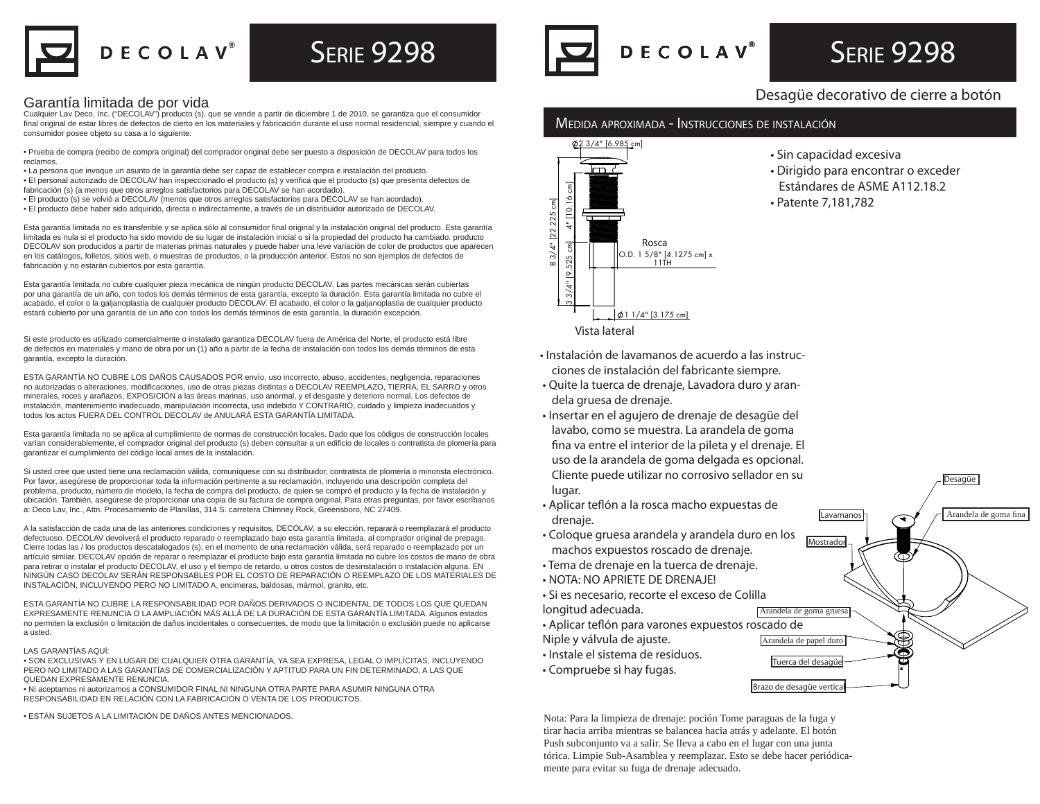

# ®

#### Garantía limitada de por vida

Cualquier Lav Deco, Inc. ("DECOLAV") producto (s), que se vende a partir de diciembre 1 de 2010, se garantiza que el consumidor final original de estar libres de defectos de cierto en los materiales y fabricación durante el uso normal residencial, siempre y cuando el consumidor posee objeto su casa a lo siguiente:

• Prueba de compra (recibo de compra original) del comprador original debe ser puesto a disposición de DECOLAV para todos los reclamos.

- La persona que invoque un asunto de la garantía debe ser capaz de establecer compra e instalación del producto.
- · El personal autorizado de DECOLAV han inspeccionado el producto (s) y verifica que el producto (s) que presenta defectos de fabricación (s) (a menos que otros arreglos satisfactorios para DECOLAV se han acordado).
- El producto (s) se volvió a DECOLAV (menos que otros arreglos satisfactorios para DECOLAV se han acordado).
- El producto debe haber sido adquirido, directa o indirectamente, a través de un distribuidor autorizado de DECOLAV.

Esta garantía limitada no es transferible y se aplica sólo al consumidor final original y la instalación original del producto. Esta garantía limitada es nula si el producto ha sido movido de su lugar de instalación inicial o si la propiedad del producto ha cambiado. producto DECOLAV son producidos a partir de materias primas naturales y puede haber una leve variación de color de productos que aparecen en los catálogos, folletos, sitios web, o muestras de productos, o la producción anterior. Estos no son ejemplos de defectos de fabricación y no estarán cubiertos por esta garantía.

Esta garantía limitada no cubre cualquier pieza mecánica de ningún producto DECOLAV. Las partes mecánicas serán cubiertas por una garantía de un año, con todos los demás términos de esta garantía, excepto la duración. Esta garantía limitada no cubre el acabado, el color o la galjanoplastia de cualquier producto DECOLAV. El acabado, el color o la galjanoplastia de cualquier producto estará cubierto por una garantía de un año con todos los demás términos de esta garantía, la duración excepción.

Si este producto es utilizado comercialmente o instalado garantiza DECOLAV fuera de América del Norte, el producto está libre de defectos en materiales y mano de obra por un (1) año a partir de la fecha de instalación con todos los demás términos de esta garantía, excepto la duración.

ESTA GARANTÍA NO CUBRE LOS DAÑOS CAUSADOS POR envío, uso incorrecto, abuso, accidentes, negligencia, reparaciones no autorizadas o alteraciones, modificaciones, uso de otras piezas distintas a DECOLAV REEMPLAZO, TIERRA, EL SARRO y otros minerales, roces y arañazos, EXPOSICIÓN a las áreas marinas, uso anormal, y el desgaste y deterioro normal. Los defectos de instalación, mantenimiento inadecuado, manipulación incorrecta, uso indebido Y CONTRARIO, cuidado y limpieza inadecuados y todos los actos FUERA DEL CONTROL DECOLAV de ANULARÁ ESTA GARANTÍA LIMITADA.

Esta garantía limitada no se aplica al cumplimiento de normas de construcción locales. Dado que los códigos de construcción locales varían considerablemente, el comprador original del producto (s) deben consultar a un edificio de locales o contratista de plomería para garantizar el cumplimiento del código local antes de la instalación.

Si usted cree que usted tiene una reclamación válida, comuníquese con su distribuidor, contratista de plomería o minorista electrónico. Por favor, asegúrese de proporcionar toda la información pertinente a su reclamación, incluyendo una descripción completa del problema, producto, número de modelo, la fecha de compra del producto, de quien se compró el producto y la fecha de instalación y ubicación. También, asegúrese de proporcionar una copia de su factura de compra original. Para otras preguntas, por favor escríbanos a: Deco Lav, Inc., Attn. Procesamiento de Planillas, 314 S. carretera Chimney Rock, Greensboro, NC 27409.

A la satisfacción de cada una de las anteriores condiciones y requisitos, DECOLAV, a su elección, reparará o reemplazará el producto defectuoso. DECOLAV devolverá el producto reparado o reemplazado bajo esta garantía limitada, al comprador original de prepago. Cierre todas las / los productos descatalogados (s), en el momento de una reclamación válida, será reparado o reemplazado por un artículo similar. DECOLAV opción de reparar o reemplazar el producto bajo esta garantía limitada no cubre los costos de mano de obra para retirar o instalar el producto DECOLAV, el uso y el tiempo de retardo, u otros costos de desinstalación o instalación alguna. EN NINGÚN CASO DECOLAV SERÁN RESPONSABLES POR EL COSTO DE REPARACIÓN O REEMPLAZO DE LOS MATERIALES DE INSTALACIÓN, INCLUYENDO PERO NO LIMITADO A, encimeras, baldosas, mármol, granito, etc.

ESTA GARANTÍA NO CUBRE LA RESPONSABILIDAD POR DAÑOS DERIVADOS O INCIDENTAL DE TODOS LOS QUE QUEDAN EXPRESAMENTE RENUNCIA O LA AMPLIACIÓN MÁS ALLÁ DE LA DURACIÓN DE ESTA GARANTÍA LIMITADA. Algunos estados no permiten la exclusión o limitación de daños incidentales o consecuentes, de modo que la limitación o exclusión puede no aplicarse a usted.

#### LAS GARANTÍAS AQUÍ:

• SON EXCLUSIVAS Y EN LUGAR DE CUALQUIER OTRA GARANTÍA, YA SEA EXPRESA, LEGAL O IMPLÍCITAS, INCLUYENDO PERO NO LIMITADO A LAS GARANTÍAS DE COMERCIALIZACIÓN Y APTITUD PARA UN FIN DETERMINADO, A LAS QUE QUEDAN EXPRESAMENTE RENUNCIA.

• Ni aceptamos ni autorizamos a CONSUMIDOR FINAL NI NINGUNA OTRA PARTE PARA ASUMIR NINGUNA OTRA RESPONSABILIDAD EN RELACIÓN CON LA FABRICACIÓN O VENTA DE LOS PRODUCTOS.



# **SERIE 9298**

### Desagüe decorativo de cierre a botón

### MEDIDA APROXIMADA - INSTRUCCIONES DE INSTALACIÓN



- Sin capacidad excesiva
- Dirigido para encontrar o exceder Estándares de ASME A112.18.2
- Patente 7,181,782

Tuerca del desagüe

Arandela de goma gruesa

Mostrado

Lavamanos

Desagüe

Arandela de goma fina

Brazo de desagüe vertical

- Instalación de lavamanos de acuerdo a las instrucciones de instalación del fabricante siempre.
- Quite la tuerca de drenaje, Lavadora duro y arandela gruesa de drenaje.
- Insertar en el agujero de drenaje de desagüe del lavabo, como se muestra. La arandela de goma fina va entre el interior de la pileta y el drenaje. El uso de la arandela de goma delgada es opcional. Cliente puede utilizar no corrosivo sellador en su lugar.
- Aplicar teflón a la rosca macho expuestas de drenaje.
- Coloque gruesa arandela y arandela duro en los machos expuestos roscado de drenaje.
- Tema de drenaje en la tuerca de drenaje.
- NOTA: NO APRIETE DE DRENAJE!
- Si es necesario, recorte el exceso de Colilla
- longitud adecuada.
- Aplicar teflón para varones expuestos roscado de Niple y válvula de ajuste. Arandela de papel duro
- Instale el sistema de residuos.
- Compruebe si hay fugas.

• ESTÁN SUJETOS A LA LIMITACIÓN DE DAÑOS ANTES MENCIONADOS. Nota: Para la limpieza de drenaje: poción Tome paraguas de la fuga y tirar hacia arriba mientras se balancea hacia atrás y adelante. El botón Push subconjunto va a salir. Se lleva a cabo en el lugar con una junta tórica. Limpie Sub-Asamblea y reemplazar. Esto se debe hacer periódicamente para evitar su fuga de drenaje adecuado.